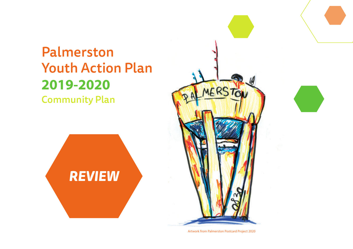# Palmerston Youth Action Plan **2019-2020**

Community Plan





Artwork from Palmerston Postcard Project 2020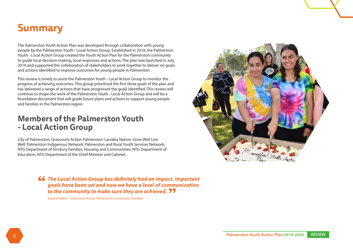# **Summary**

The Palmerston Youth Action Plan was developed through collaboration with young people by the Palmerston Youth - Local Action Group. Established in 2018, the Palmerston Youth - Local Action Group created the Youth Action Plan for the Palmerston community to guide local decision-making, local responses and actions. The plan was launched in July 2019 and supported the collaboration of stakeholders to work together to deliver on goals and actions identified to improve outcomes for young people in Palmerston.

This review is timely to assist the Palmerston Youth - Local Action Group to monitor the progress of achieving outcomes. This group prioritised the first three goals of the plan and has delivered a range of actions that have progressed the goals identified. This review will continue to shape the work of the Palmerston Youth - Local Action Group and will be a foundation document that will guide future plans and actions to support young people and families in the Palmerston region.

### **Members of the Palmerston Youth - Local Action Group**

City of Palmerston; Grassroots Action Palmerston: Larrakia Nation: Grow Well Live Well: Palmerston Indigenous Network: Palmerston and Rural Youth Services Network; NTG Department of Territory Families, Housing and Communities; NTG Department of Education; NTG Department of the Chief Minister and Cabinet; .

> *The Local Action Group has definitely had an impact. Important goals have been set and now we have a level of communication to the community to make sure they are achieved.*

Serena Dalton - Grassroots Action Palmerston; Community Member

![](_page_1_Picture_7.jpeg)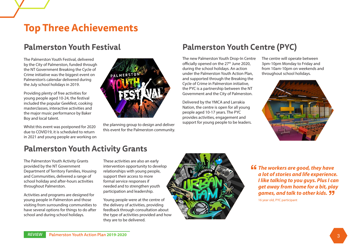# **Top Three Achievements**

## **Palmerston Youth Festival**

The Palmerston Youth Festival, delivered by the City of Palmerston, funded through the NT Government Breaking the Cycle of Crime initiative was the biggest event on Palmerston's calendar delivered during the July school holidays in 2019.

Providing plenty of free activities for young people aged 10-24, the festival included the popular Geekfest, cooking masterclasses, interactive activities and the major music performance by Baker Boy and local talent.

Whilst this event was postponed for 2020 due to COVID19, it is scheduled to return in 2021 and young people are working on

![](_page_2_Picture_5.jpeg)

the planning group to design and deliver this event for the Palmerston community.

## **Palmerston Youth Centre (PYC)**

The new Palmerston Youth Drop-In Centre officially opened on the 27<sup>th</sup> June 2020, during the school holidays. An action under the Palmerston Youth Action Plan, and supported through the Breaking the Cycle of Crime in Palmerston initiative, the PYC is a partnership between the NT Government and the City of Palmerston.

Delivered by the YMCA and Larrakia Nation, the centre is open for all young people aged 10-17 years. The PYC provides activities, engagement and support for young people to be leaders.

The centre will operate between 3pm-10pm Monday to Friday and from 10am-10pm on weekends and throughout school holidays.

![](_page_2_Picture_11.jpeg)

## **Palmerston Youth Activity Grants**

The Palmerston Youth Activity Grants provided by the NT Government Department of Territory Families, Housing and Communities, delivered a range of school holiday and after-hours activities throughout Palmerston.

Activities and programs are designed for young people in Palmerston and those visiting from surrounding communities to have several options for things to do after school and during school holidays.

These activities are also an early intervention opportunity to develop relationships with young people, support their access to more formal service responses if needed and to strengthen youth participation and leadership.

Young people were at the centre of the delivery of activities, providing feedback through consultation about the type of activities provided and how they are to be delivered.

![](_page_2_Picture_17.jpeg)

*The workers are good, they have a lot of stories and life experience. I like talking to you guys. Plus I can get away from home for a bit, play games, and talk to other kids.* 

16 year old, PYC participant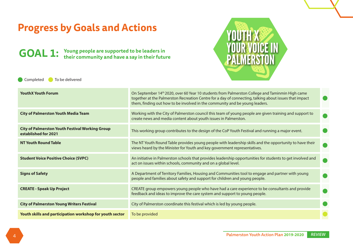| <b>Progress by Goals and Actions</b><br><b>YOUTH X<br/>YOUR VOICE IN</b><br><b>GOAL 1:</b> Young people are supported to be leaders in<br>their community and have a say in their future<br><b>PALMERSTON</b> |                                                                                                                                                                                                                                                                                                      |  |  |
|---------------------------------------------------------------------------------------------------------------------------------------------------------------------------------------------------------------|------------------------------------------------------------------------------------------------------------------------------------------------------------------------------------------------------------------------------------------------------------------------------------------------------|--|--|
| To be delivered<br>Completed                                                                                                                                                                                  |                                                                                                                                                                                                                                                                                                      |  |  |
| <b>YouthX Youth Forum</b>                                                                                                                                                                                     | On September 14 <sup>th</sup> 2020, over 60 Year 10 students from Palmerston College and Taminmin High came<br>together at the Palmerston Recreation Centre for a day of connecting, talking about issues that impact<br>them, finding out how to be involved in the community and be young leaders. |  |  |
| <b>City of Palmerston Youth Media Team</b>                                                                                                                                                                    | Working with the City of Palmerston council this team of young people are given training and support to<br>create news and media content about youth issues in Palmerston.                                                                                                                           |  |  |
| <b>City of Palmerston Youth Festival Working Group</b><br>established for 2021                                                                                                                                | This working group contributes to the design of the CoP Youth Festival and running a major event.                                                                                                                                                                                                    |  |  |
| <b>NT Youth Round Table</b>                                                                                                                                                                                   | The NT Youth Round Table provides young people with leadership skills and the opportunity to have their<br>views heard by the Minister for Youth and key government representatives.                                                                                                                 |  |  |
| <b>Student Voice Positive Choice (SVPC)</b>                                                                                                                                                                   | An initiative in Palmerston schools that provides leadership opportunities for students to get involved and<br>act on issues within schools, community and on a global level.                                                                                                                        |  |  |
| <b>Signs of Safety</b>                                                                                                                                                                                        | A Department of Territory Families, Housing and Communities tool to engage and partner with young<br>people and families about safety and support for children and young people.                                                                                                                     |  |  |
| <b>CREATE - Speak Up Project</b>                                                                                                                                                                              | CREATE group empowers young people who have had a care experience to be consultants and provide<br>feedback and ideas to improve the care system and support to young people.                                                                                                                        |  |  |
| <b>City of Palmerston Young Writers Festival</b>                                                                                                                                                              | City of Palmerston coordinate this festival which is led by young people.                                                                                                                                                                                                                            |  |  |
| Youth skills and participation workshop for youth sector                                                                                                                                                      | To be provided                                                                                                                                                                                                                                                                                       |  |  |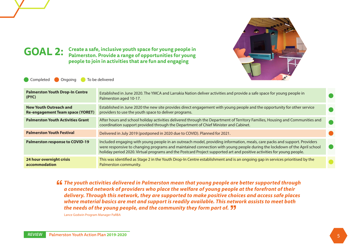![](_page_4_Picture_0.jpeg)

### **GOAL 2: Create a safe, inclusive youth space for young people in Palmerston. Provide a range of opportunities for young people to join in activities that are fun and engaging**

**Completed Congoing To be delivered** 

| <b>Palmerston Youth Drop-In Centre</b><br>(PYC)            | Established in June 2020. The YMCA and Larrakia Nation deliver activities and provide a safe space for young people in<br>Palmerston aged 10-17.                                                                                                                                                                                                                                |  |
|------------------------------------------------------------|---------------------------------------------------------------------------------------------------------------------------------------------------------------------------------------------------------------------------------------------------------------------------------------------------------------------------------------------------------------------------------|--|
| New Youth Outreach and<br>Re-engagement Team space (YORET) | Established in June 2020 the new site provides direct engagement with young people and the opportunity for other service<br>providers to use the youth space to deliver programs.                                                                                                                                                                                               |  |
| <b>Palmerston Youth Activities Grant</b>                   | After hours and school holiday activities delivered through the Department of Territory Families, Housing and Communities and<br>coordination support provided through the Department of Chief Minister and Cabinet.                                                                                                                                                            |  |
| <b>Palmerston Youth Festival</b>                           | Delivered in July 2019 (postponed in 2020 due to COVID). Planned for 2021.                                                                                                                                                                                                                                                                                                      |  |
| <b>Palmerston response to COVID-19</b>                     | Included engaging with young people in an outreach model, providing information, meals, care packs and support. Providers<br>were responsive to changing programs and maintained connection with young people during the lockdown of the April school<br>holiday period 2020. Virtual programs and the Postcard Project supported art and positive activities for young people. |  |
| 24 hour overnight crisis<br>accommodation                  | This was identified as Stage 2 in the Youth Drop-In Centre establishment and is an ongoing gap in services prioritised by the<br>Palmerston community.                                                                                                                                                                                                                          |  |

*The youth activities delivered in Palmerston mean that young people are better supported through a connected network of providers who place the welfare of young people at the forefront of their delivery. Through this network, they are supported to make positive choices and access safe places where material basics are met and support is readily available. This network assists to meet both the needs of the young people, and the community they form part of.*

Lance Godwin Program Manager PaRBA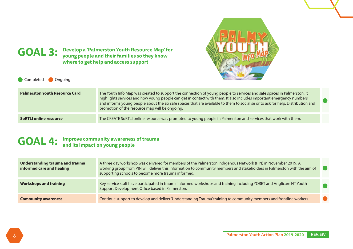![](_page_5_Picture_0.jpeg)

**GOAL 3: Develop a 'Palmerston Youth Resource Map' for young people and their families so they know where to get help and access support**

Completed Ongoing

| <b>Palmerston Youth Resource Card</b> | The Youth Info Map was created to support the connection of young people to services and safe spaces in Palmerston. It<br>highlights services and how young people can get in contact with them. It also includes important emergency numbers<br>and informs young people about the six safe spaces that are available to them to socialise or to ask for help. Distribution and<br>promotion of the resource map will be ongoing. |  |
|---------------------------------------|------------------------------------------------------------------------------------------------------------------------------------------------------------------------------------------------------------------------------------------------------------------------------------------------------------------------------------------------------------------------------------------------------------------------------------|--|
| <b>SoRTLI online resource</b>         | The CREATE SoRTLI online resource was promoted to young people in Palmerston and services that work with them.                                                                                                                                                                                                                                                                                                                     |  |

# GOAL 4: Improve community awareness of trauma<br> **GOAL 4:** and its impact on young people

| Understanding trauma and trauma<br>informed care and healing | A three day workshop was delivered for members of the Palmerston Indigenous Network (PIN) in November 2019. A<br>working group from PIN will deliver this information to community members and stakeholders in Palmerston with the aim of<br>supporting schools to become more trauma informed. |  |
|--------------------------------------------------------------|-------------------------------------------------------------------------------------------------------------------------------------------------------------------------------------------------------------------------------------------------------------------------------------------------|--|
| <b>Workshops and training</b>                                | Key service staff have participated in trauma informed workshops and training including YORET and Anglicare NT Youth<br>Support Development Office based in Palmerston.                                                                                                                         |  |
| <b>Community awareness</b>                                   | Continue support to develop and deliver 'Understanding Trauma' training to community members and frontline workers.                                                                                                                                                                             |  |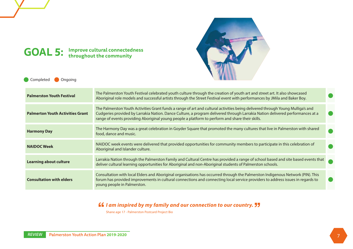# **GOAL 5: Improve cultural connectedness throughout the community**

![](_page_6_Picture_1.jpeg)

Completed Ongoing

| <b>Palmerston Youth Festival</b>        | The Palmerston Youth Festival celebrated youth culture through the creation of youth art and street art. It also showcased<br>Aboriginal role models and successful artists through the Street Festival event with performances by JMila and Baker Boy.                                                                                                            |                        |
|-----------------------------------------|--------------------------------------------------------------------------------------------------------------------------------------------------------------------------------------------------------------------------------------------------------------------------------------------------------------------------------------------------------------------|------------------------|
| <b>Palmerton Youth Activities Grant</b> | The Palmerston Youth Activities Grant funds a range of art and cultural activities being delivered through Young Mulliga's and<br>Cudgeries provided by Larrakia Nation. Dance Culture, a program delivered through Larrakia Nation delivered performances at a<br>range of events providing Aboriginal young people a platform to perform and share their skills. | m.                     |
| <b>Harmony Day</b>                      | The Harmony Day was a great celebration in Goyder Square that promoted the many cultures that live in Palmerston with shared<br>food, dance and music.                                                                                                                                                                                                             |                        |
| <b>NAIDOC Week</b>                      | NAIDOC week events were delivered that provided opportunities for community members to participate in this celebration of<br>Aboriginal and Islander culture.                                                                                                                                                                                                      |                        |
| <b>Learning about culture</b>           | Larrakia Nation through the Palmerston Family and Cultural Centre has provided a range of school based and site based events that<br>deliver cultural learning opportunities for Aboriginal and non-Aboriginal students of Palmerston schools.                                                                                                                     |                        |
| <b>Consultation with elders</b>         | Consultation with local Elders and Aboriginal organisations has occurred through the Palmerston Indigenous Network (PIN). This<br>forum has provided improvements in cultural connections and connecting local service providers to address issues in regards to<br>young people in Palmerston.                                                                    | <b>Service Service</b> |

*If I am inspired by my family and our connection to our country.* **<b>JJ** 

Shane age 17 - Palmerston Postcard Project Bio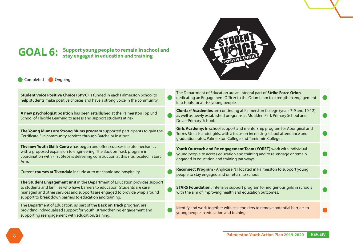![](_page_7_Picture_0.jpeg)

# **GOAL 6: Support young people to remain in school and stay engaged in education and training**

Completed Ongoing

| <b>Clontarf Academies</b> are continuing at Palmerston College (years 7-9 and 10-12)<br>A new psychologist position has been established at the Palmerston Top End<br>as well as newly established programs at Moulden Park Primary School and<br>School of Flexible Learning to assess and support students at risk.<br>Driver Primary School.<br>Girls Academy: In school support and mentorship program for Aboriginal and<br>The Young Mums are Strong Mums program supported participants to gain the<br>Torres Strait Islander girls, with a focus on increasing school attendance and<br>Certificate 3 in community services through Batchelor Institute.<br>graduation rates. Palmerston College and Taminmin College.<br>The new Youth Skills Centre has begun and offers courses in auto mechanics<br>Youth Outreach and Re engagement Team (YORET) work with individual<br>with a proposed expansion to engineering. The Back on Track program in<br>young people to access education and training and to re-engage or remain<br>coordination with First Steps is delivering construction at this site, located in East<br>engaged in education and training pathways.<br>Arm.<br><b>Reconnect Program</b> - Anglicare NT located in Palmerston to support young<br>Current courses at Tivendale include auto mechanic and hospitality.<br>people to stay engaged and or return to school.<br>The Student Engagement unit in the Department of Education provides support<br>to students and families who have barriers to education. Students are case<br><b>STARS Foundation:</b> Intensive support program for indigenous girls in schools<br>managed and other services and supports are engaged to provide wrap around<br>with the aim of improving health and education outcomes.<br>support to break down barriers to education and training.<br>The Department of Education, as part of the <b>Back on Track</b> program, are<br>Identify and work together with stakeholders to remove potential barriers to<br>providing individualised support for youth, strengthening engagement and<br>young people in education and training.<br>supporting reengagement with education/training. | Student Voice Positive Choice (SPVC) is funded in each Palmerston School to<br>help students make positive choices and have a strong voice in the community. | The Department of Education are an integral part of Strike Force Orion,<br>dedicating an Engagement Officer to the Orion team to strengthen engagement<br>in schools for at risk young people. |  |
|-------------------------------------------------------------------------------------------------------------------------------------------------------------------------------------------------------------------------------------------------------------------------------------------------------------------------------------------------------------------------------------------------------------------------------------------------------------------------------------------------------------------------------------------------------------------------------------------------------------------------------------------------------------------------------------------------------------------------------------------------------------------------------------------------------------------------------------------------------------------------------------------------------------------------------------------------------------------------------------------------------------------------------------------------------------------------------------------------------------------------------------------------------------------------------------------------------------------------------------------------------------------------------------------------------------------------------------------------------------------------------------------------------------------------------------------------------------------------------------------------------------------------------------------------------------------------------------------------------------------------------------------------------------------------------------------------------------------------------------------------------------------------------------------------------------------------------------------------------------------------------------------------------------------------------------------------------------------------------------------------------------------------------------------------------------------------------------------------------------------------------------------------------------------------------------------------------------|--------------------------------------------------------------------------------------------------------------------------------------------------------------|------------------------------------------------------------------------------------------------------------------------------------------------------------------------------------------------|--|
|                                                                                                                                                                                                                                                                                                                                                                                                                                                                                                                                                                                                                                                                                                                                                                                                                                                                                                                                                                                                                                                                                                                                                                                                                                                                                                                                                                                                                                                                                                                                                                                                                                                                                                                                                                                                                                                                                                                                                                                                                                                                                                                                                                                                             |                                                                                                                                                              |                                                                                                                                                                                                |  |
|                                                                                                                                                                                                                                                                                                                                                                                                                                                                                                                                                                                                                                                                                                                                                                                                                                                                                                                                                                                                                                                                                                                                                                                                                                                                                                                                                                                                                                                                                                                                                                                                                                                                                                                                                                                                                                                                                                                                                                                                                                                                                                                                                                                                             |                                                                                                                                                              |                                                                                                                                                                                                |  |
|                                                                                                                                                                                                                                                                                                                                                                                                                                                                                                                                                                                                                                                                                                                                                                                                                                                                                                                                                                                                                                                                                                                                                                                                                                                                                                                                                                                                                                                                                                                                                                                                                                                                                                                                                                                                                                                                                                                                                                                                                                                                                                                                                                                                             |                                                                                                                                                              |                                                                                                                                                                                                |  |
|                                                                                                                                                                                                                                                                                                                                                                                                                                                                                                                                                                                                                                                                                                                                                                                                                                                                                                                                                                                                                                                                                                                                                                                                                                                                                                                                                                                                                                                                                                                                                                                                                                                                                                                                                                                                                                                                                                                                                                                                                                                                                                                                                                                                             |                                                                                                                                                              |                                                                                                                                                                                                |  |
|                                                                                                                                                                                                                                                                                                                                                                                                                                                                                                                                                                                                                                                                                                                                                                                                                                                                                                                                                                                                                                                                                                                                                                                                                                                                                                                                                                                                                                                                                                                                                                                                                                                                                                                                                                                                                                                                                                                                                                                                                                                                                                                                                                                                             |                                                                                                                                                              |                                                                                                                                                                                                |  |
|                                                                                                                                                                                                                                                                                                                                                                                                                                                                                                                                                                                                                                                                                                                                                                                                                                                                                                                                                                                                                                                                                                                                                                                                                                                                                                                                                                                                                                                                                                                                                                                                                                                                                                                                                                                                                                                                                                                                                                                                                                                                                                                                                                                                             |                                                                                                                                                              |                                                                                                                                                                                                |  |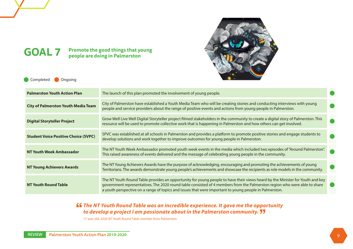![](_page_8_Picture_0.jpeg)

**GOAL 7 Promote the good things that young people are doing in Palmerston**

Completed Ongoing

| <b>Palmerston Youth Action Plan</b>         | The launch of this plan promoted the involvement of young people.                                                                                                                                                                                                                                                                                                    |  |
|---------------------------------------------|----------------------------------------------------------------------------------------------------------------------------------------------------------------------------------------------------------------------------------------------------------------------------------------------------------------------------------------------------------------------|--|
| <b>City of Palmerston Youth Media Team</b>  | City of Palmerston have established a Youth Media Team who will be creating stories and conducting interviews with young<br>people and service providers about the range of positive events and actions from young people in Palmerston.                                                                                                                             |  |
| <b>Digital Storyteller Project</b>          | Grow Well Live Well Digital Storyteller project filmed stakeholders in the community to create a digital story of Palmerston. This<br>resource will be used to promote collective work that is happening in Palmerston and how others can get involved.                                                                                                              |  |
| <b>Student Voice Positive Choice (SVPC)</b> | SPVC was established at all schools in Palmerston and provides a platform to promote positive stories and engage students to<br>develop solutions and work together to improve outcomes for young people in Palmerston.                                                                                                                                              |  |
| NT Youth Week Ambassador                    | The NT Youth Week Ambassador promoted youth week events in the media which included two episodes of "Around Palmerston".<br>This raised awareness of events delivered and the message of celebrating young people in the community.                                                                                                                                  |  |
| <b>NT Young Achievers Awards</b>            | The NT Young Achievers Awards have the purpose of acknowledging, encouraging and promoting the achievements of young<br>Territorians. The awards demonstrate young people's achievements and showcase the recipients as role models in the community.                                                                                                                |  |
| <b>NT Youth Round Table</b>                 | The NT Youth Round Table provides an opportunity for young people to have their views heard by the Minister for Youth and key<br>government representatives. The 2020 round table consisted of 4 members from the Palmerston region who were able to share<br>a youth perspective on a range of topics and issues that were important to young people in Palmerston. |  |

#### *The NT Youth Round Table was an incredible experience. It gave me the opportunity to develop a project I am passionate about in the Palmerston community.*

17 year old, 2020 NT Youth Round Table member from Palmerston